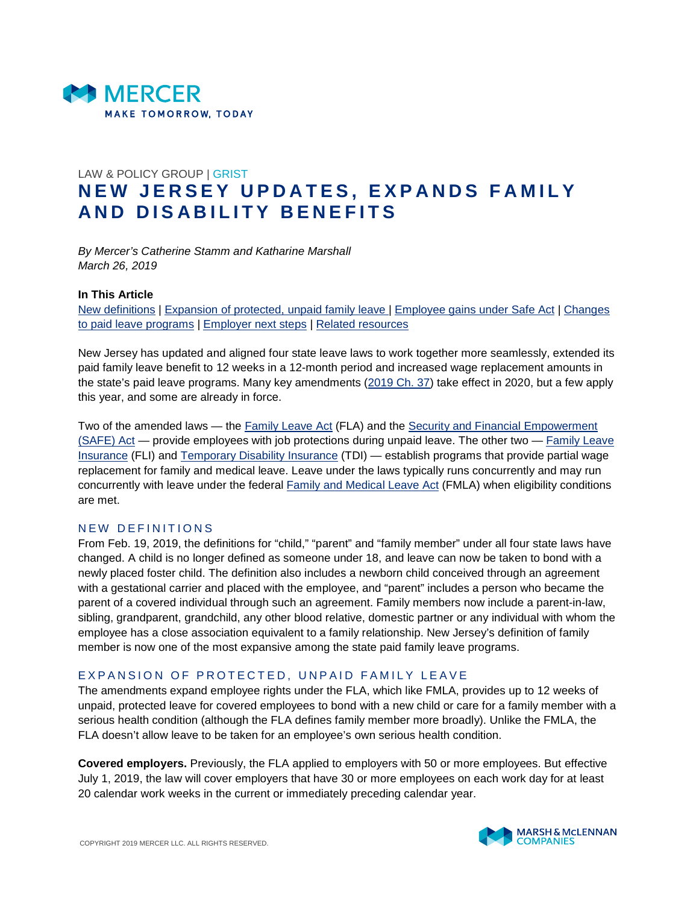

# LAW & POLICY GROUP | GRIST **NEW JERSEY UPDATES, EXPANDS FAMILY AND DISABILITY BENEFITS**

*By Mercer's Catherine Stamm and Katharine Marshall March 26, 2019*

## **In This Article**

[New definitions](#page-0-0) | [Expansion of protected, unpaid family leave](#page-0-1) | [Employee gains under Safe Act](#page-1-0) | [Changes](#page-1-1) [to paid leave programs](#page-1-1) | [Employer next steps](#page-3-0) | [Related resources](#page-3-0)

New Jersey has updated and aligned four state leave laws to work together more seamlessly, extended its paid family leave benefit to 12 weeks in a 12-month period and increased wage replacement amounts in the state's paid leave programs. Many key amendments [\(2019 Ch. 37\)](https://www.njleg.state.nj.us/bill-search/2018/A3975/bill-text?f=PL19&n=37_) take effect in 2020, but a few apply this year, and some are already in force.

Two of the amended laws — the [Family Leave Act](https://www.state.nj.us/lps/dcr/downloads/flafactsheet.pdf) (FLA) and the [Security and Financial Empowerment](ftp://www.njleg.state.nj.us/20122013/PL13/82_.PDF) [\(SAFE\) Act](ftp://www.njleg.state.nj.us/20122013/PL13/82_.PDF) — provide employees with job protections during unpaid leave. The other two — [Family Leave](https://myleavebenefits.nj.gov/worker/fli/) [Insurance](https://myleavebenefits.nj.gov/worker/fli/) (FLI) and [Temporary Disability Insurance](https://myleavebenefits.nj.gov/worker/tdi/) (TDI) — establish programs that provide partial wage replacement for family and medical leave. Leave under the laws typically runs concurrently and may run concurrently with leave under the federal [Family and Medical Leave Act](https://www.dol.gov/whd/fmla/) (FMLA) when eligibility conditions are met.

## <span id="page-0-0"></span>NEW DEFINITIONS

From Feb. 19, 2019, the definitions for "child," "parent" and "family member" under all four state laws have changed. A child is no longer defined as someone under 18, and leave can now be taken to bond with a newly placed foster child. The definition also includes a newborn child conceived through an agreement with a gestational carrier and placed with the employee, and "parent" includes a person who became the parent of a covered individual through such an agreement. Family members now include a parent-in-law, sibling, grandparent, grandchild, any other blood relative, domestic partner or any individual with whom the employee has a close association equivalent to a family relationship. New Jersey's definition of family member is now one of the most expansive among the state paid family leave programs.

#### <span id="page-0-1"></span>EXPANSION OF PROTECTED, UNPAID FAMILY LEAVE

The amendments expand employee rights under the FLA, which like FMLA, provides up to 12 weeks of unpaid, protected leave for covered employees to bond with a new child or care for a family member with a serious health condition (although the FLA defines family member more broadly). Unlike the FMLA, the FLA doesn't allow leave to be taken for an employee's own serious health condition.

**Covered employers.** Previously, the FLA applied to employers with 50 or more employees. But effective July 1, 2019, the law will cover employers that have 30 or more employees on each work day for at least 20 calendar work weeks in the current or immediately preceding calendar year.

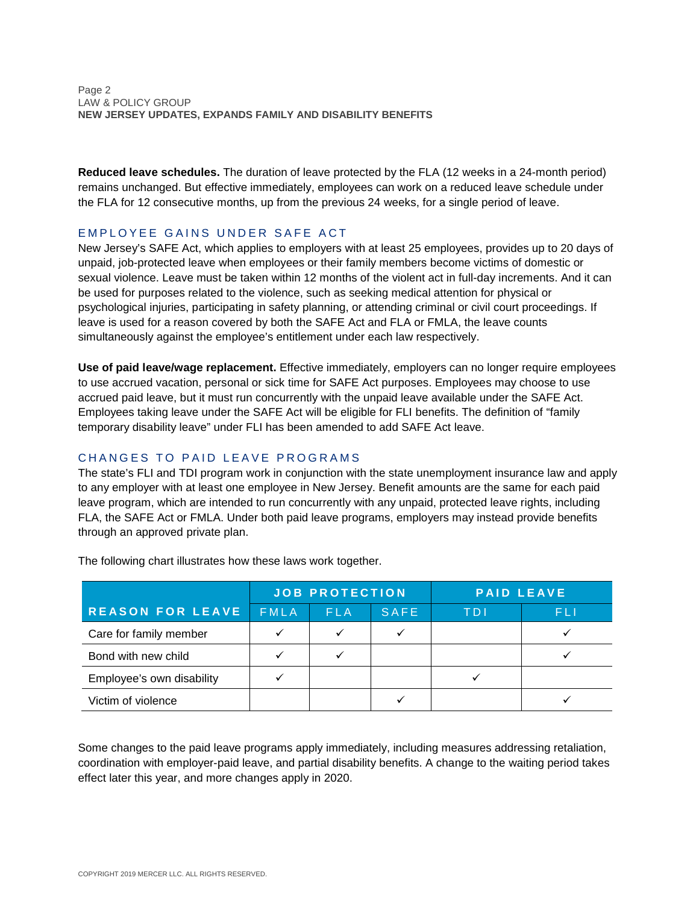**Reduced leave schedules.** The duration of leave protected by the FLA (12 weeks in a 24-month period) remains unchanged. But effective immediately, employees can work on a reduced leave schedule under the FLA for 12 consecutive months, up from the previous 24 weeks, for a single period of leave.

# <span id="page-1-0"></span>EMPLOYEE GAINS UNDER SAFE ACT

New Jersey's SAFE Act, which applies to employers with at least 25 employees, provides up to 20 days of unpaid, job-protected leave when employees or their family members become victims of domestic or sexual violence. Leave must be taken within 12 months of the violent act in full-day increments. And it can be used for purposes related to the violence, such as seeking medical attention for physical or psychological injuries, participating in safety planning, or attending criminal or civil court proceedings. If leave is used for a reason covered by both the SAFE Act and FLA or FMLA, the leave counts simultaneously against the employee's entitlement under each law respectively.

**Use of paid leave/wage replacement.** Effective immediately, employers can no longer require employees to use accrued vacation, personal or sick time for SAFE Act purposes. Employees may choose to use accrued paid leave, but it must run concurrently with the unpaid leave available under the SAFE Act. Employees taking leave under the SAFE Act will be eligible for FLI benefits. The definition of "family temporary disability leave" under FLI has been amended to add SAFE Act leave.

# <span id="page-1-1"></span>CHANGES TO PAID LEAVE PROGRAMS

The state's FLI and TDI program work in conjunction with the state unemployment insurance law and apply to any employer with at least one employee in New Jersey. Benefit amounts are the same for each paid leave program, which are intended to run concurrently with any unpaid, protected leave rights, including FLA, the SAFE Act or FMLA. Under both paid leave programs, employers may instead provide benefits through an approved private plan.

|                           | <b>JOB PROTECTION</b> |       |      | <b>PAID LEAVE</b> |      |
|---------------------------|-----------------------|-------|------|-------------------|------|
| <b>REASON FOR LEAVE</b>   | FMLA                  | F L A | SAFE | TDI               | FI I |
| Care for family member    |                       |       |      |                   |      |
| Bond with new child       |                       |       |      |                   |      |
| Employee's own disability |                       |       |      |                   |      |
| Victim of violence        |                       |       |      |                   |      |

The following chart illustrates how these laws work together.

Some changes to the paid leave programs apply immediately, including measures addressing retaliation, coordination with employer-paid leave, and partial disability benefits. A change to the waiting period takes effect later this year, and more changes apply in 2020.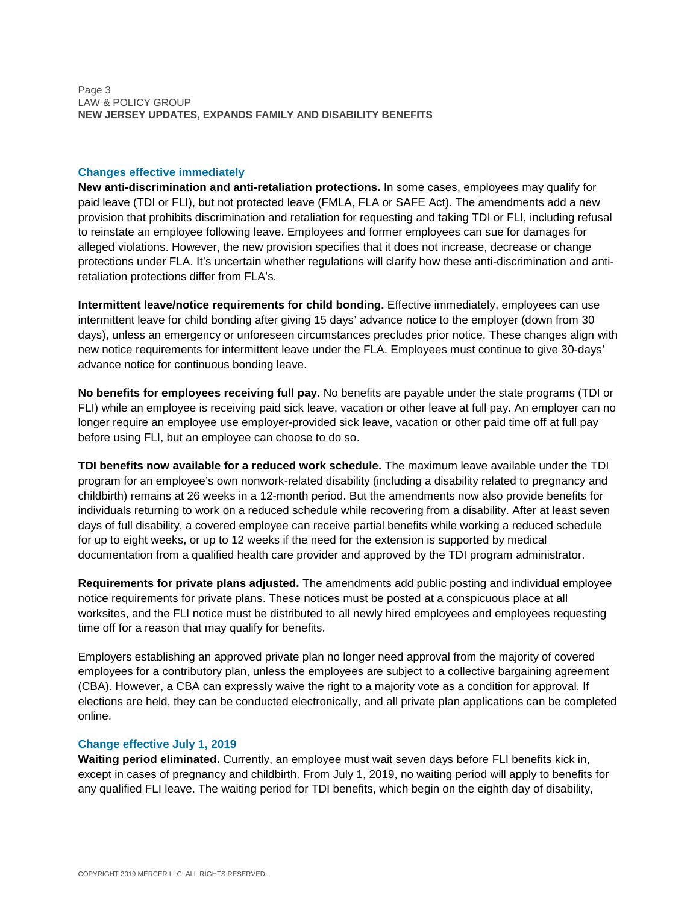#### **Changes effective immediately**

**New anti-discrimination and anti-retaliation protections.** In some cases, employees may qualify for paid leave (TDI or FLI), but not protected leave (FMLA, FLA or SAFE Act). The amendments add a new provision that prohibits discrimination and retaliation for requesting and taking TDI or FLI, including refusal to reinstate an employee following leave. Employees and former employees can sue for damages for alleged violations. However, the new provision specifies that it does not increase, decrease or change protections under FLA. It's uncertain whether regulations will clarify how these anti-discrimination and antiretaliation protections differ from FLA's.

**Intermittent leave/notice requirements for child bonding.** Effective immediately, employees can use intermittent leave for child bonding after giving 15 days' advance notice to the employer (down from 30 days), unless an emergency or unforeseen circumstances precludes prior notice. These changes align with new notice requirements for intermittent leave under the FLA. Employees must continue to give 30-days' advance notice for continuous bonding leave.

**No benefits for employees receiving full pay.** No benefits are payable under the state programs (TDI or FLI) while an employee is receiving paid sick leave, vacation or other leave at full pay. An employer can no longer require an employee use employer-provided sick leave, vacation or other paid time off at full pay before using FLI, but an employee can choose to do so.

**TDI benefits now available for a reduced work schedule.** The maximum leave available under the TDI program for an employee's own nonwork-related disability (including a disability related to pregnancy and childbirth) remains at 26 weeks in a 12-month period. But the amendments now also provide benefits for individuals returning to work on a reduced schedule while recovering from a disability. After at least seven days of full disability, a covered employee can receive partial benefits while working a reduced schedule for up to eight weeks, or up to 12 weeks if the need for the extension is supported by medical documentation from a qualified health care provider and approved by the TDI program administrator.

**Requirements for private plans adjusted.** The amendments add public posting and individual employee notice requirements for private plans. These notices must be posted at a conspicuous place at all worksites, and the FLI notice must be distributed to all newly hired employees and employees requesting time off for a reason that may qualify for benefits.

Employers establishing an approved private plan no longer need approval from the majority of covered employees for a contributory plan, unless the employees are subject to a collective bargaining agreement (CBA). However, a CBA can expressly waive the right to a majority vote as a condition for approval. If elections are held, they can be conducted electronically, and all private plan applications can be completed online.

#### **Change effective July 1, 2019**

**Waiting period eliminated.** Currently, an employee must wait seven days before FLI benefits kick in, except in cases of pregnancy and childbirth. From July 1, 2019, no waiting period will apply to benefits for any qualified FLI leave. The waiting period for TDI benefits, which begin on the eighth day of disability,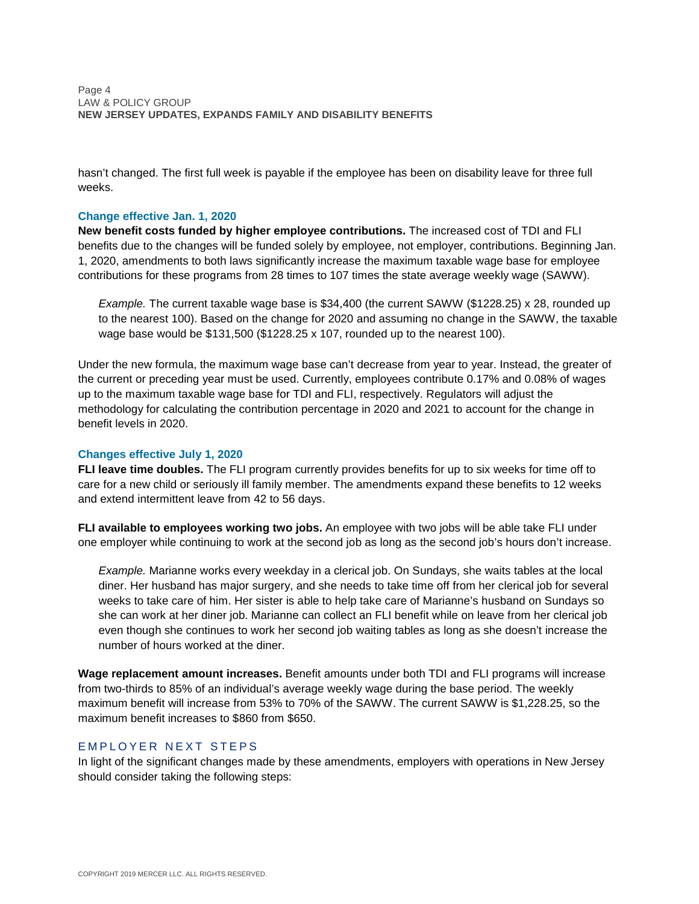hasn't changed. The first full week is payable if the employee has been on disability leave for three full weeks.

#### **Change effective Jan. 1, 2020**

**New benefit costs funded by higher employee contributions.** The increased cost of TDI and FLI benefits due to the changes will be funded solely by employee, not employer, contributions. Beginning Jan. 1, 2020, amendments to both laws significantly increase the maximum taxable wage base for employee contributions for these programs from 28 times to 107 times the state average weekly wage (SAWW).

*Example.* The current taxable wage base is \$34,400 (the current SAWW (\$1228.25) x 28, rounded up to the nearest 100). Based on the change for 2020 and assuming no change in the SAWW, the taxable wage base would be \$131,500 (\$1228.25 x 107, rounded up to the nearest 100).

Under the new formula, the maximum wage base can't decrease from year to year. Instead, the greater of the current or preceding year must be used. Currently, employees contribute 0.17% and 0.08% of wages up to the maximum taxable wage base for TDI and FLI, respectively. Regulators will adjust the methodology for calculating the contribution percentage in 2020 and 2021 to account for the change in benefit levels in 2020.

#### **Changes effective July 1, 2020**

**FLI leave time doubles.** The FLI program currently provides benefits for up to six weeks for time off to care for a new child or seriously ill family member. The amendments expand these benefits to 12 weeks and extend intermittent leave from 42 to 56 days.

**FLI available to employees working two jobs.** An employee with two jobs will be able take FLI under one employer while continuing to work at the second job as long as the second job's hours don't increase.

*Example.* Marianne works every weekday in a clerical job. On Sundays, she waits tables at the local diner. Her husband has major surgery, and she needs to take time off from her clerical job for several weeks to take care of him. Her sister is able to help take care of Marianne's husband on Sundays so she can work at her diner job. Marianne can collect an FLI benefit while on leave from her clerical job even though she continues to work her second job waiting tables as long as she doesn't increase the number of hours worked at the diner.

**Wage replacement amount increases.** Benefit amounts under both TDI and FLI programs will increase from two-thirds to 85% of an individual's average weekly wage during the base period. The weekly maximum benefit will increase from 53% to 70% of the SAWW. The current SAWW is \$1,228.25, so the maximum benefit increases to \$860 from \$650.

# <span id="page-3-0"></span>EMPLOYER NEXT STEPS

In light of the significant changes made by these amendments, employers with operations in New Jersey should consider taking the following steps: